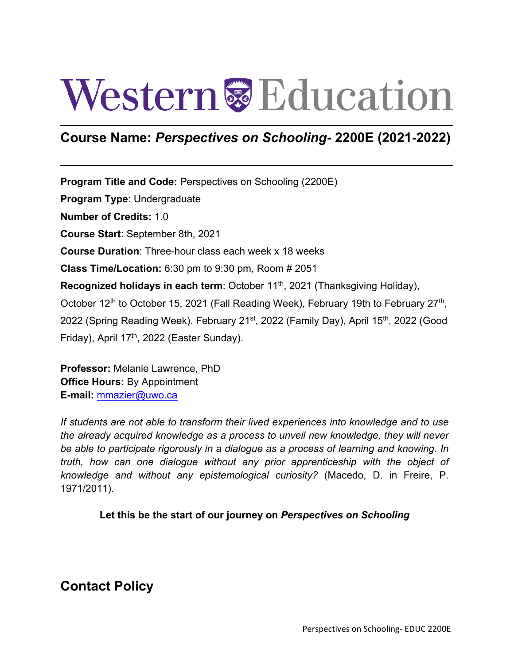# Western<sup>&</sup>Education

# **Course Name:** *Perspectives on Schooling***- 2200E (2021-2022)**

**Program Title and Code:** Perspectives on Schooling (2200E) **Program Type**: Undergraduate **Number of Credits:** 1.0 **Course Start**: September 8th, 2021 **Course Duration**: Three-hour class each week x 18 weeks **Class Time/Location:** 6:30 pm to 9:30 pm, Room # 2051 **Recognized holidays in each term**: October 11<sup>th</sup>, 2021 (Thanksgiving Holiday), October 12<sup>th</sup> to October 15, 2021 (Fall Reading Week), February 19th to February 27<sup>th</sup>, 2022 (Spring Reading Week). February 21<sup>st</sup>, 2022 (Family Day), April 15<sup>th</sup>, 2022 (Good Friday), April 17<sup>th</sup>, 2022 (Easter Sunday).

**Professor:** Melanie Lawrence, PhD **Office Hours:** By Appointment **E-mail:** [mmazier@uwo.ca](mailto:mmazier@uwo.ca)

*If students are not able to transform their lived experiences into knowledge and to use the already acquired knowledge as a process to unveil new knowledge, they will never be able to participate rigorously in a dialogue as a process of learning and knowing. In truth, how can one dialogue without any prior apprenticeship with the object of knowledge and without any epistemological curiosity?* (Macedo, D. in Freire, P. 1971/2011).

#### **Let this be the start of our journey on** *Perspectives on Schooling*

# **Contact Policy**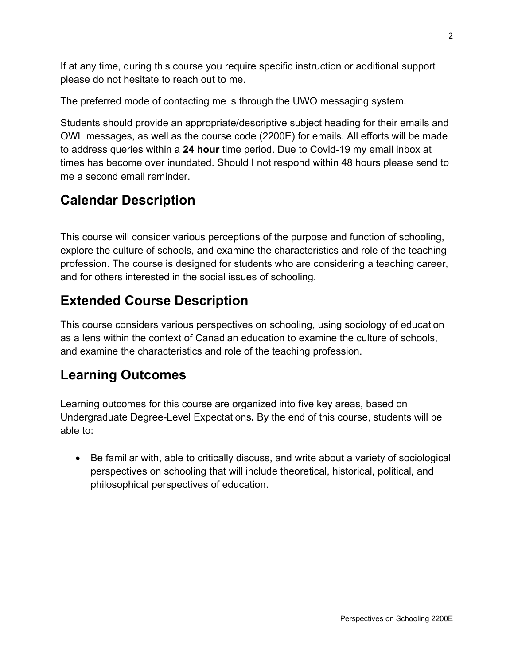If at any time, during this course you require specific instruction or additional support please do not hesitate to reach out to me.

The preferred mode of contacting me is through the UWO messaging system.

Students should provide an appropriate/descriptive subject heading for their emails and OWL messages, as well as the course code (2200E) for emails. All efforts will be made to address queries within a **24 hour** time period. Due to Covid-19 my email inbox at times has become over inundated. Should I not respond within 48 hours please send to me a second email reminder.

# **Calendar Description**

This course will consider various perceptions of the purpose and function of schooling, explore the culture of schools, and examine the characteristics and role of the teaching profession. The course is designed for students who are considering a teaching career, and for others interested in the social issues of schooling.

# **Extended Course Description**

This course considers various perspectives on schooling, using sociology of education as a lens within the context of Canadian education to examine the culture of schools, and examine the characteristics and role of the teaching profession.

# **Learning Outcomes**

Learning outcomes for this course are organized into five key areas, based on Undergraduate Degree-Level Expectations**.** By the end of this course, students will be able to:

• Be familiar with, able to critically discuss, and write about a variety of sociological perspectives on schooling that will include theoretical, historical, political, and philosophical perspectives of education.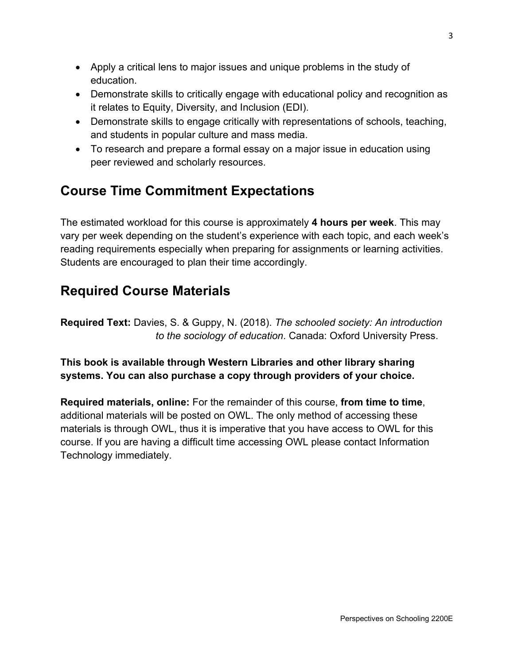- Apply a critical lens to major issues and unique problems in the study of education.
- Demonstrate skills to critically engage with educational policy and recognition as it relates to Equity, Diversity, and Inclusion (EDI).
- Demonstrate skills to engage critically with representations of schools, teaching, and students in popular culture and mass media.
- To research and prepare a formal essay on a major issue in education using peer reviewed and scholarly resources.

# **Course Time Commitment Expectations**

The estimated workload for this course is approximately **4 hours per week**. This may vary per week depending on the student's experience with each topic, and each week's reading requirements especially when preparing for assignments or learning activities. Students are encouraged to plan their time accordingly.

# **Required Course Materials**

**Required Text:** Davies, S. & Guppy, N. (2018). *The schooled society: An introduction to the sociology of education*. Canada: Oxford University Press.

#### **This book is available through Western Libraries and other library sharing systems. You can also purchase a copy through providers of your choice.**

**Required materials, online:** For the remainder of this course, **from time to time**, additional materials will be posted on OWL. The only method of accessing these materials is through OWL, thus it is imperative that you have access to OWL for this course. If you are having a difficult time accessing OWL please contact Information Technology immediately.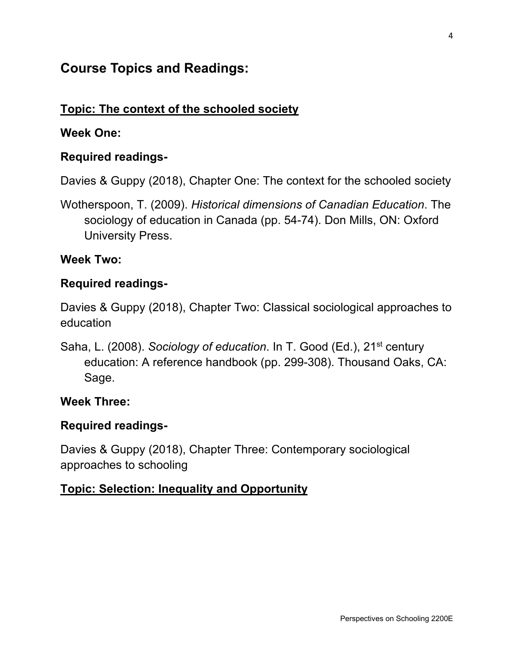# **Course Topics and Readings:**

## **Topic: The context of the schooled society**

#### **Week One:**

#### **Required readings-**

Davies & Guppy (2018), Chapter One: The context for the schooled society

Wotherspoon, T. (2009). *Historical dimensions of Canadian Education*. The sociology of education in Canada (pp. 54-74). Don Mills, ON: Oxford University Press.

#### **Week Two:**

#### **Required readings-**

Davies & Guppy (2018), Chapter Two: Classical sociological approaches to education

Saha, L. (2008). *Sociology of education*. In T. Good (Ed.), 21<sup>st</sup> century education: A reference handbook (pp. 299-308). Thousand Oaks, CA: Sage.

#### **Week Three:**

#### **Required readings-**

Davies & Guppy (2018), Chapter Three: Contemporary sociological approaches to schooling

#### **Topic: Selection: Inequality and Opportunity**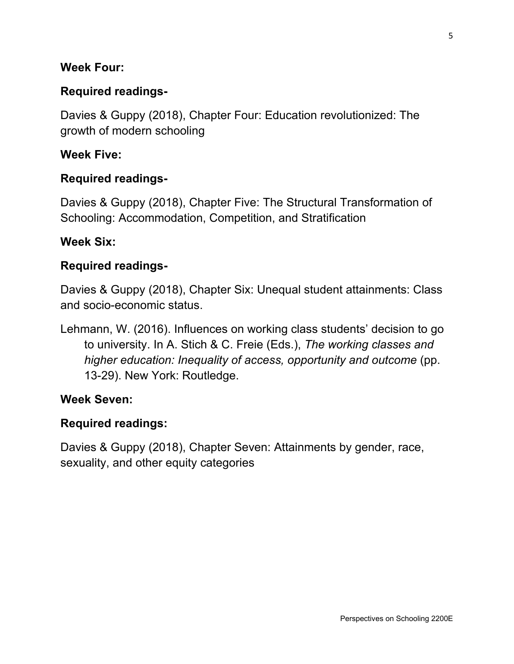#### **Week Four:**

## **Required readings-**

Davies & Guppy (2018), Chapter Four: Education revolutionized: The growth of modern schooling

#### **Week Five:**

#### **Required readings-**

Davies & Guppy (2018), Chapter Five: The Structural Transformation of Schooling: Accommodation, Competition, and Stratification

#### **Week Six:**

#### **Required readings-**

Davies & Guppy (2018), Chapter Six: Unequal student attainments: Class and socio-economic status.

Lehmann, W. (2016). Influences on working class students' decision to go to university. In A. Stich & C. Freie (Eds.), *The working classes and higher education: Inequality of access, opportunity and outcome* (pp. 13-29). New York: Routledge.

#### **Week Seven:**

#### **Required readings:**

Davies & Guppy (2018), Chapter Seven: Attainments by gender, race, sexuality, and other equity categories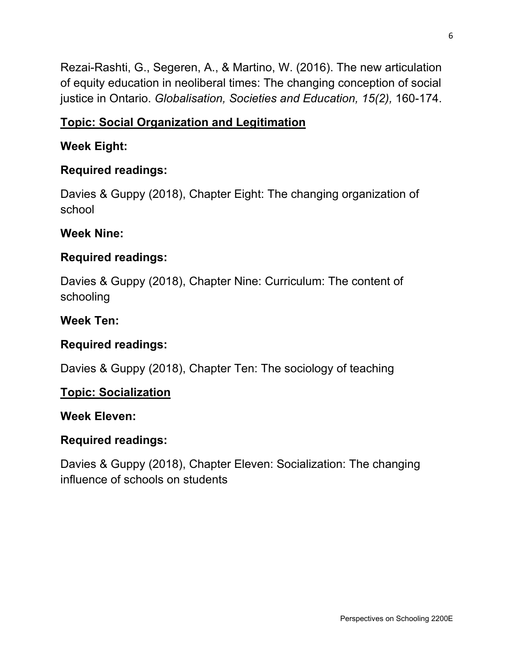Rezai-Rashti, G., Segeren, A., & Martino, W. (2016). The new articulation of equity education in neoliberal times: The changing conception of social justice in Ontario. *Globalisation, Societies and Education, 15(2),* 160-174.

# **Topic: Social Organization and Legitimation**

# **Week Eight:**

# **Required readings:**

Davies & Guppy (2018), Chapter Eight: The changing organization of school

## **Week Nine:**

# **Required readings:**

Davies & Guppy (2018), Chapter Nine: Curriculum: The content of schooling

## **Week Ten:**

# **Required readings:**

Davies & Guppy (2018), Chapter Ten: The sociology of teaching

## **Topic: Socialization**

## **Week Eleven:**

# **Required readings:**

Davies & Guppy (2018), Chapter Eleven: Socialization: The changing influence of schools on students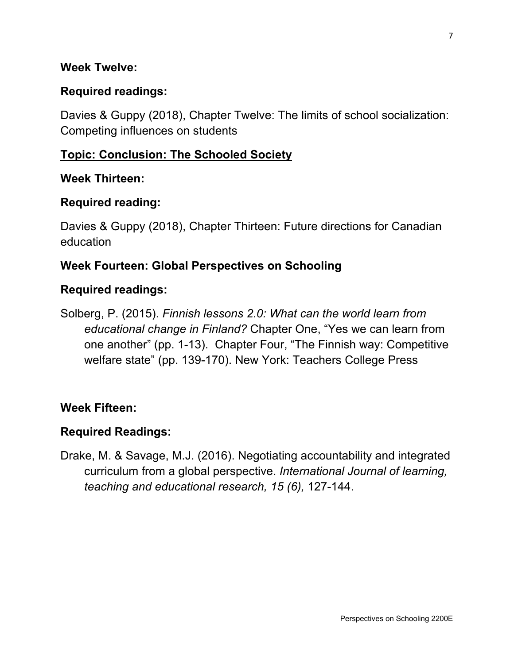#### **Week Twelve:**

## **Required readings:**

Davies & Guppy (2018), Chapter Twelve: The limits of school socialization: Competing influences on students

#### **Topic: Conclusion: The Schooled Society**

#### **Week Thirteen:**

#### **Required reading:**

Davies & Guppy (2018), Chapter Thirteen: Future directions for Canadian education

#### **Week Fourteen: Global Perspectives on Schooling**

#### **Required readings:**

Solberg, P. (2015). *Finnish lessons 2.0: What can the world learn from educational change in Finland?* Chapter One, "Yes we can learn from one another" (pp. 1-13). Chapter Four, "The Finnish way: Competitive welfare state" (pp. 139-170). New York: Teachers College Press

#### **Week Fifteen:**

## **Required Readings:**

Drake, M. & Savage, M.J. (2016). Negotiating accountability and integrated curriculum from a global perspective. *International Journal of learning, teaching and educational research, 15 (6),* 127-144.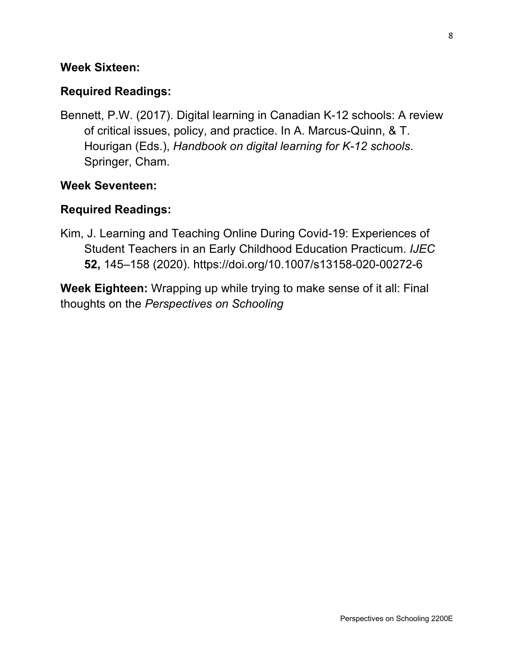#### **Week Sixteen:**

## **Required Readings:**

Bennett, P.W. (2017). Digital learning in Canadian K-12 schools: A review of critical issues, policy, and practice. In A. Marcus-Quinn, & T. Hourigan (Eds.), *Handbook on digital learning for K-12 schools*. Springer, Cham.

#### **Week Seventeen:**

## **Required Readings:**

Kim, J. Learning and Teaching Online During Covid-19: Experiences of Student Teachers in an Early Childhood Education Practicum. *IJEC* **52,** 145–158 (2020).<https://doi.org/10.1007/s13158-020-00272-6>

**Week Eighteen:** Wrapping up while trying to make sense of it all: Final thoughts on the *Perspectives on Schooling*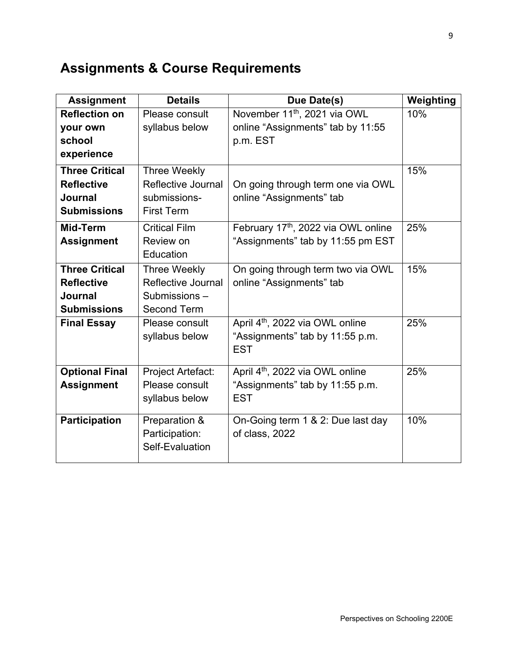# **Assignments & Course Requirements**

| <b>Assignment</b>     | <b>Details</b>       | Due Date(s)                                 | Weighting |
|-----------------------|----------------------|---------------------------------------------|-----------|
| <b>Reflection on</b>  | Please consult       | November 11 <sup>th</sup> , 2021 via OWL    | 10%       |
| your own              | syllabus below       | online "Assignments" tab by 11:55           |           |
| school                |                      | p.m. EST                                    |           |
| experience            |                      |                                             |           |
| <b>Three Critical</b> | <b>Three Weekly</b>  |                                             | 15%       |
| <b>Reflective</b>     | Reflective Journal   | On going through term one via OWL           |           |
| Journal               | submissions-         | online "Assignments" tab                    |           |
| <b>Submissions</b>    | <b>First Term</b>    |                                             |           |
| Mid-Term              | <b>Critical Film</b> | February 17th, 2022 via OWL online          | 25%       |
| <b>Assignment</b>     | Review on            | "Assignments" tab by 11:55 pm EST           |           |
|                       | Education            |                                             |           |
| <b>Three Critical</b> | Three Weekly         | On going through term two via OWL           | 15%       |
| <b>Reflective</b>     | Reflective Journal   | online "Assignments" tab                    |           |
| Journal               | Submissions-         |                                             |           |
| <b>Submissions</b>    | <b>Second Term</b>   |                                             |           |
| <b>Final Essay</b>    | Please consult       | April 4 <sup>th</sup> , 2022 via OWL online | 25%       |
|                       | syllabus below       | "Assignments" tab by 11:55 p.m.             |           |
|                       |                      | <b>EST</b>                                  |           |
| <b>Optional Final</b> | Project Artefact:    | April 4 <sup>th</sup> , 2022 via OWL online | 25%       |
| <b>Assignment</b>     | Please consult       | "Assignments" tab by 11:55 p.m.             |           |
|                       | syllabus below       | <b>EST</b>                                  |           |
|                       |                      |                                             |           |
| <b>Participation</b>  | Preparation &        | On-Going term 1 & 2: Due last day           | 10%       |
|                       | Participation:       | of class, 2022                              |           |
|                       | Self-Evaluation      |                                             |           |
|                       |                      |                                             |           |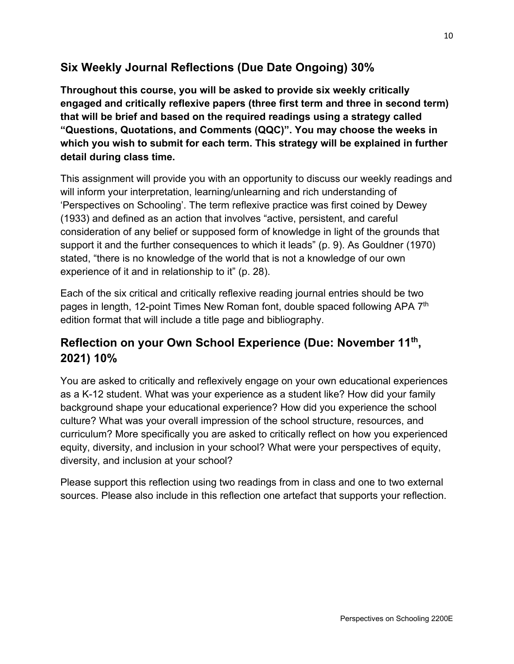# **Six Weekly Journal Reflections (Due Date Ongoing) 30%**

**Throughout this course, you will be asked to provide six weekly critically engaged and critically reflexive papers (three first term and three in second term) that will be brief and based on the required readings using a strategy called "Questions, Quotations, and Comments (QQC)". You may choose the weeks in which you wish to submit for each term. This strategy will be explained in further detail during class time.**

This assignment will provide you with an opportunity to discuss our weekly readings and will inform your interpretation, learning/unlearning and rich understanding of 'Perspectives on Schooling'. The term reflexive practice was first coined by Dewey (1933) and defined as an action that involves "active, persistent, and careful consideration of any belief or supposed form of knowledge in light of the grounds that support it and the further consequences to which it leads" (p. 9). As Gouldner (1970) stated, "there is no knowledge of the world that is not a knowledge of our own experience of it and in relationship to it" (p. 28).

Each of the six critical and critically reflexive reading journal entries should be two pages in length, 12-point Times New Roman font, double spaced following APA 7<sup>th</sup> edition format that will include a title page and bibliography.

# **Reflection on your Own School Experience (Due: November 11th, 2021) 10%**

You are asked to critically and reflexively engage on your own educational experiences as a K-12 student. What was your experience as a student like? How did your family background shape your educational experience? How did you experience the school culture? What was your overall impression of the school structure, resources, and curriculum? More specifically you are asked to critically reflect on how you experienced equity, diversity, and inclusion in your school? What were your perspectives of equity, diversity, and inclusion at your school?

Please support this reflection using two readings from in class and one to two external sources. Please also include in this reflection one artefact that supports your reflection.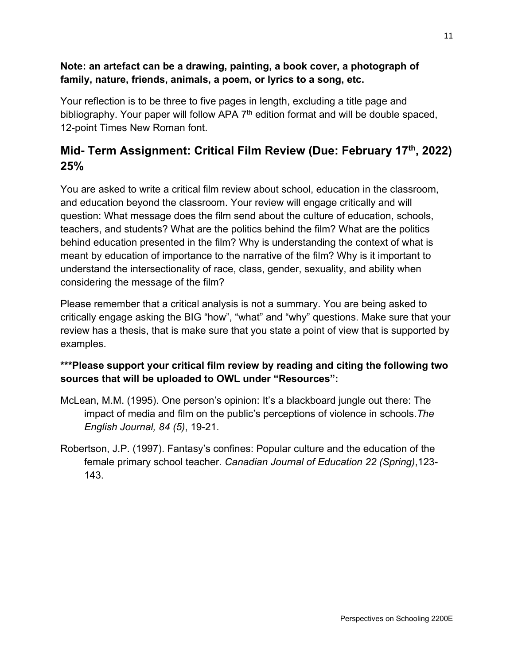#### **Note: an artefact can be a drawing, painting, a book cover, a photograph of family, nature, friends, animals, a poem, or lyrics to a song, etc.**

Your reflection is to be three to five pages in length, excluding a title page and bibliography. Your paper will follow APA 7<sup>th</sup> edition format and will be double spaced, 12-point Times New Roman font.

# **Mid- Term Assignment: Critical Film Review (Due: February 17th, 2022) 25%**

You are asked to write a critical film review about school, education in the classroom, and education beyond the classroom. Your review will engage critically and will question: What message does the film send about the culture of education, schools, teachers, and students? What are the politics behind the film? What are the politics behind education presented in the film? Why is understanding the context of what is meant by education of importance to the narrative of the film? Why is it important to understand the intersectionality of race, class, gender, sexuality, and ability when considering the message of the film?

Please remember that a critical analysis is not a summary. You are being asked to critically engage asking the BIG "how", "what" and "why" questions. Make sure that your review has a thesis, that is make sure that you state a point of view that is supported by examples.

#### **\*\*\*Please support your critical film review by reading and citing the following two sources that will be uploaded to OWL under "Resources":**

- McLean, M.M. (1995). One person's opinion: It's a blackboard jungle out there: The impact of media and film on the public's perceptions of violence in schools.*The English Journal, 84 (5)*, 19-21.
- Robertson, J.P. (1997). Fantasy's confines: Popular culture and the education of the female primary school teacher. *Canadian Journal of Education 22 (Spring)*,123- 143.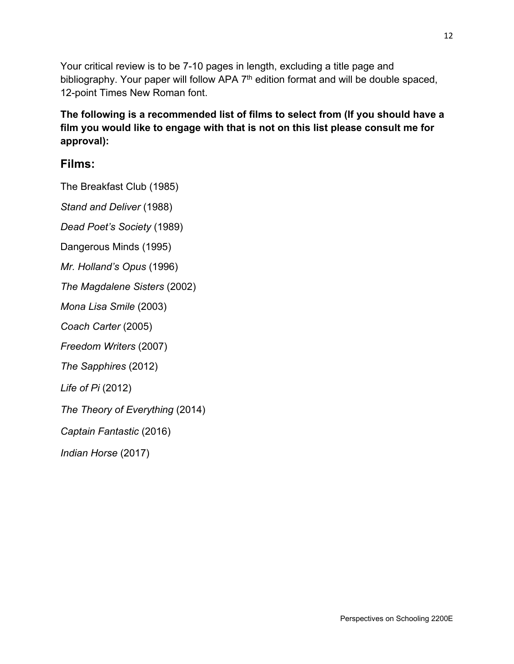Your critical review is to be 7-10 pages in length, excluding a title page and bibliography. Your paper will follow APA 7<sup>th</sup> edition format and will be double spaced, 12-point Times New Roman font.

#### **The following is a recommended list of films to select from (If you should have a film you would like to engage with that is not on this list please consult me for approval):**

## **Films:**

The Breakfast Club (1985)

*Stand and Deliver* (1988)

*Dead Poet's Society* (1989)

Dangerous Minds (1995)

*Mr. Holland's Opus* (1996)

*The Magdalene Sisters* (2002)

*Mona Lisa Smile* (2003)

*Coach Carter* (2005)

*Freedom Writers* (2007)

*The Sapphires* (2012)

*Life of Pi* (2012)

*The Theory of Everything* (2014)

*Captain Fantastic* (2016)

*Indian Horse* (2017)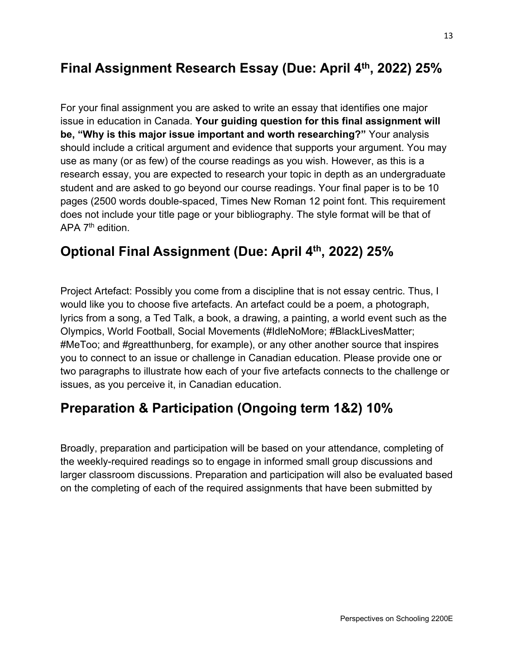# **Final Assignment Research Essay (Due: April 4th, 2022) 25%**

For your final assignment you are asked to write an essay that identifies one major issue in education in Canada. **Your guiding question for this final assignment will be, "Why is this major issue important and worth researching?"** Your analysis should include a critical argument and evidence that supports your argument. You may use as many (or as few) of the course readings as you wish. However, as this is a research essay, you are expected to research your topic in depth as an undergraduate student and are asked to go beyond our course readings. Your final paper is to be 10 pages (2500 words double-spaced, Times New Roman 12 point font. This requirement does not include your title page or your bibliography. The style format will be that of APA 7<sup>th</sup> edition.

# **Optional Final Assignment (Due: April 4th, 2022) 25%**

Project Artefact: Possibly you come from a discipline that is not essay centric. Thus, I would like you to choose five artefacts. An artefact could be a poem, a photograph, lyrics from a song, a Ted Talk, a book, a drawing, a painting, a world event such as the Olympics, World Football, Social Movements (#IdleNoMore; #BlackLivesMatter; #MeToo; and #greatthunberg, for example), or any other another source that inspires you to connect to an issue or challenge in Canadian education. Please provide one or two paragraphs to illustrate how each of your five artefacts connects to the challenge or issues, as you perceive it, in Canadian education.

# **Preparation & Participation (Ongoing term 1&2) 10%**

Broadly, preparation and participation will be based on your attendance, completing of the weekly-required readings so to engage in informed small group discussions and larger classroom discussions. Preparation and participation will also be evaluated based on the completing of each of the required assignments that have been submitted by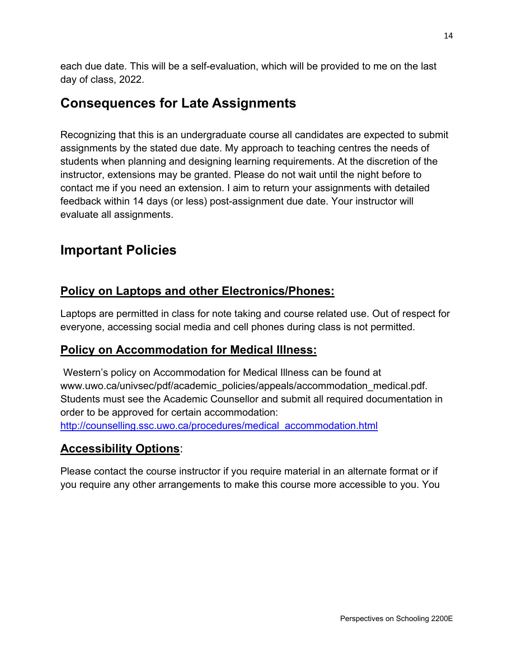each due date. This will be a self-evaluation, which will be provided to me on the last day of class, 2022.

# **Consequences for Late Assignments**

Recognizing that this is an undergraduate course all candidates are expected to submit assignments by the stated due date. My approach to teaching centres the needs of students when planning and designing learning requirements. At the discretion of the instructor, extensions may be granted. Please do not wait until the night before to contact me if you need an extension. I aim to return your assignments with detailed feedback within 14 days (or less) post-assignment due date. Your instructor will evaluate all assignments.

# **Important Policies**

# **Policy on Laptops and other Electronics/Phones:**

Laptops are permitted in class for note taking and course related use. Out of respect for everyone, accessing social media and cell phones during class is not permitted.

# **Policy on Accommodation for Medical Illness:**

Western's policy on Accommodation for Medical Illness can be found at www.uwo.ca/univsec/pdf/academic\_policies/appeals/accommodation\_medical.pdf. Students must see the Academic Counsellor and submit all required documentation in order to be approved for certain accommodation: [http://counselling.ssc.uwo.ca/procedures/medical\\_accommodation.html](http://counselling.ssc.uwo.ca/procedures/medical_accommodation.html)

# **Accessibility Options**:

Please contact the course instructor if you require material in an alternate format or if you require any other arrangements to make this course more accessible to you. You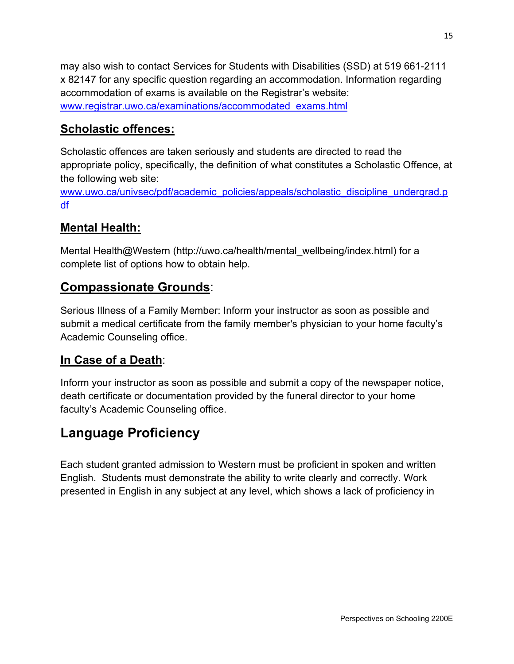may also wish to contact Services for Students with Disabilities (SSD) at 519 661-2111 x 82147 for any specific question regarding an accommodation. Information regarding accommodation of exams is available on the Registrar's website: [www.registrar.uwo.ca/examinations/accommodated\\_exams.html](http://www.registrar.uwo.ca/examinations/accommodated_exams.html)

## **Scholastic offences:**

Scholastic offences are taken seriously and students are directed to read the appropriate policy, specifically, the definition of what constitutes a Scholastic Offence, at the following web site:

[www.uwo.ca/univsec/pdf/academic\\_policies/appeals/scholastic\\_discipline\\_undergrad.p](http://www.uwo.ca/univsec/pdf/academic_policies/appeals/scholastic_discipline_undergrad.pdf) [df](http://www.uwo.ca/univsec/pdf/academic_policies/appeals/scholastic_discipline_undergrad.pdf)

# **Mental Health:**

Mental Health@Western [\(http://uwo.ca/health/mental\\_wellbeing/index.html\) fo](http://uwo.ca/health/mental_wellbeing/index.html)r a complete list of options how to obtain help.

# **Compassionate Grounds**:

Serious Illness of a Family Member: Inform your instructor as soon as possible and submit a medical certificate from the family member's physician to your home faculty's Academic Counseling office.

## **In Case of a Death**:

Inform your instructor as soon as possible and submit a copy of the newspaper notice, death certificate or documentation provided by the funeral director to your home faculty's Academic Counseling office.

# **Language Proficiency**

Each student granted admission to Western must be proficient in spoken and written English. Students must demonstrate the ability to write clearly and correctly. Work presented in English in any subject at any level, which shows a lack of proficiency in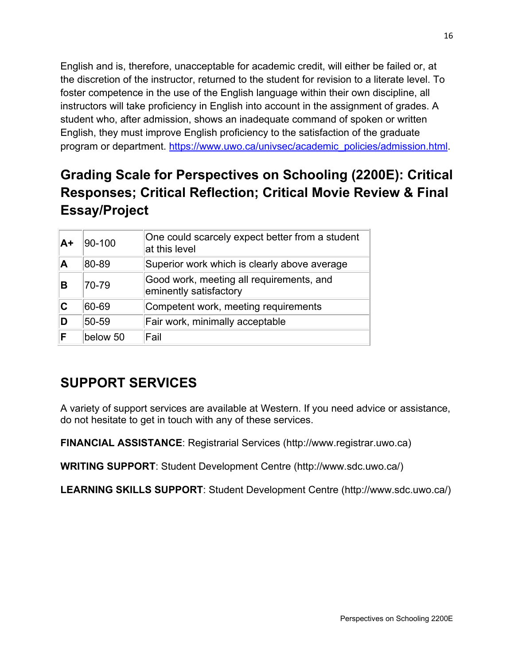English and is, therefore, unacceptable for academic credit, will either be failed or, at the discretion of the instructor, returned to the student for revision to a literate level. To foster competence in the use of the English language within their own discipline, all instructors will take proficiency in English into account in the assignment of grades. A student who, after admission, shows an inadequate command of spoken or written English, they must improve English proficiency to the satisfaction of the graduate program or department. [https://www.uwo.ca/univsec/academic\\_policies/admission.html.](https://www.uwo.ca/univsec/academic_policies/admission.html)

# **Grading Scale for Perspectives on Schooling (2200E): Critical Responses; Critical Reflection; Critical Movie Review & Final Essay/Project**

| A+ | 90-100   | One could scarcely expect better from a student<br>at this level   |
|----|----------|--------------------------------------------------------------------|
| A  | 80-89    | Superior work which is clearly above average                       |
| в  | 70-79    | Good work, meeting all requirements, and<br>eminently satisfactory |
| C  | 60-69    | Competent work, meeting requirements                               |
|    | 50-59    | Fair work, minimally acceptable                                    |
| F  | below 50 | Fail                                                               |

# **SUPPORT SERVICES**

A variety of support services are available at Western. If you need advice or assistance, do not hesitate to get in touch with any of these services.

**FINANCIAL ASSISTANCE**: Registrarial Services [\(http://www.registrar.uwo.ca\)](http://www.registrar.uwo.ca) 

**WRITING SUPPORT**: Student Development Centre [\(http://www.sdc.uwo.ca/\)](http://www.sdc.uwo.ca/) 

**LEARNING SKILLS SUPPORT**: Student Development Centre ([http://www.sdc.uwo.ca/\)](http://www.sdc.uwo.ca/)